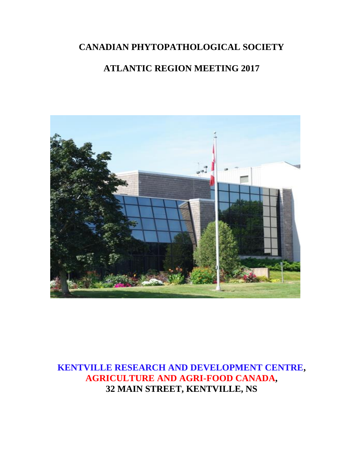# **CANADIAN PHYTOPATHOLOGICAL SOCIETY**

# **ATLANTIC REGION MEETING 2017**



**KENTVILLE RESEARCH AND DEVELOPMENT CENTRE, AGRICULTURE AND AGRI-FOOD CANADA, 32 MAIN STREET, KENTVILLE, NS**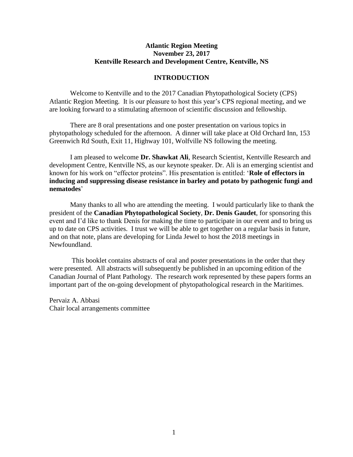#### **Atlantic Region Meeting November 23, 2017 Kentville Research and Development Centre, Kentville, NS**

#### **INTRODUCTION**

Welcome to Kentville and to the 2017 Canadian Phytopathological Society (CPS) Atlantic Region Meeting. It is our pleasure to host this year's CPS regional meeting, and we are looking forward to a stimulating afternoon of scientific discussion and fellowship.

There are 8 oral presentations and one poster presentation on various topics in phytopathology scheduled for the afternoon. A dinner will take place at Old Orchard Inn, 153 Greenwich Rd South, Exit 11, Highway 101, Wolfville NS following the meeting.

I am pleased to welcome **Dr. Shawkat Ali**, Research Scientist, Kentville Research and development Centre, Kentville NS, as our keynote speaker. Dr. Ali is an emerging scientist and known for his work on "effector proteins". His presentation is entitled: '**Role of effectors in inducing and suppressing disease resistance in barley and potato by pathogenic fungi and nematodes**'

Many thanks to all who are attending the meeting. I would particularly like to thank the president of the **Canadian Phytopathological Society**, **Dr. Denis Gaudet**, for sponsoring this event and I'd like to thank Denis for making the time to participate in our event and to bring us up to date on CPS activities. I trust we will be able to get together on a regular basis in future, and on that note, plans are developing for Linda Jewel to host the 2018 meetings in Newfoundland.

This booklet contains abstracts of oral and poster presentations in the order that they were presented. All abstracts will subsequently be published in an upcoming edition of the Canadian Journal of Plant Pathology. The research work represented by these papers forms an important part of the on-going development of phytopathological research in the Maritimes.

Pervaiz A. Abbasi Chair local arrangements committee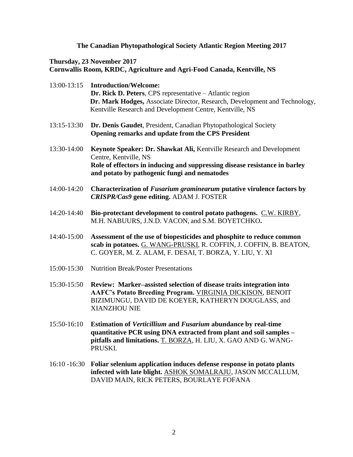# **The Canadian Phytopathological Society Atlantic Region Meeting 2017**

# **Thursday, 23 November 2017 Cornwallis Room, KRDC, Agriculture and Agri-Food Canada, Kentville, NS**

| 13:00-13:15 | <b>Introduction/Welcome:</b><br>Dr. Rick D. Peters, CPS representative - Atlantic region<br>Dr. Mark Hodges, Associate Director, Research, Development and Technology,<br>Kentville Research and Development Centre, Kentville, NS |
|-------------|------------------------------------------------------------------------------------------------------------------------------------------------------------------------------------------------------------------------------------|
| 13:15-13:30 | Dr. Denis Gaudet, President, Canadian Phytopathological Society<br>Opening remarks and update from the CPS President                                                                                                               |
| 13:30-14:00 | Keynote Speaker: Dr. Shawkat Ali, Kentville Research and Development<br>Centre, Kentville, NS<br>Role of effectors in inducing and suppressing disease resistance in barley<br>and potato by pathogenic fungi and nematodes        |
| 14:00-14:20 | Characterization of Fusarium graminearum putative virulence factors by<br>CRISPR/Cas9 gene editing. ADAM J. FOSTER                                                                                                                 |
| 14:20-14:40 | Bio-protectant development to control potato pathogens. C.W. KIRBY,<br>M.H. NABUURS, J.N.D. VACON, and S.M. BOYETCHKO.                                                                                                             |
| 14:40-15:00 | Assessment of the use of biopesticides and phosphite to reduce common<br>scab in potatoes. G. WANG-PRUSKI, R. COFFIN, J. COFFIN, B. BEATON,<br>C. GOYER, M. Z. ALAM, F. DESAI, T. BORZA, Y. LIU, Y. XI                             |
| 15:00-15:30 | <b>Nutrition Break/Poster Presentations</b>                                                                                                                                                                                        |
| 15:30-15:50 | Review: Marker-assisted selection of disease traits integration into<br>AAFC's Potato Breeding Program. VIRGINIA DICKISON, BENOIT<br>BIZIMUNGU, DAVID DE KOEYER, KATHERYN DOUGLASS, and<br><b>XIANZHOU NIE</b>                     |
| 15:50-16:10 | Estimation of Verticillium and Fusarium abundance by real-time<br>quantitative PCR using DNA extracted from plant and soil samples -<br>pitfalls and limitations. T. BORZA, H. LIU, X. GAO AND G. WANG-<br>PRUSKI.                 |
|             | 16:10 -16:30 Foliar selenium application induces defense response in potato plants<br>infected with late blight ASHOK SOMALRAILL JASON MCCALLUM                                                                                    |

**infected with late blight.** ASHOK SOMALRAJU, JASON MCCALLUM, DAVID MAIN, RICK PETERS, BOURLAYE FOFANA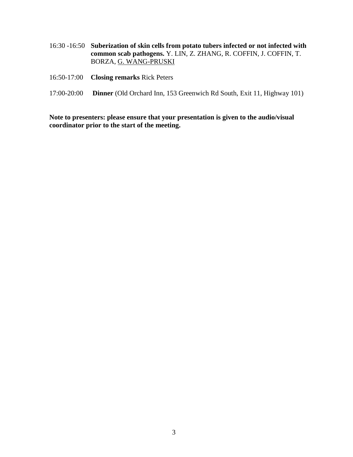- 16:30 -16:50 **Suberization of skin cells from potato tubers infected or not infected with common scab pathogens.** Y. LIN, Z. ZHANG, R. COFFIN, J. COFFIN, T. BORZA, G. WANG-PRUSKI
- 16:50-17:00 **Closing remarks** Rick Peters
- 17:00-20:00 **Dinner** (Old Orchard Inn, 153 Greenwich Rd South, Exit 11, Highway 101)

**Note to presenters: please ensure that your presentation is given to the audio/visual coordinator prior to the start of the meeting.**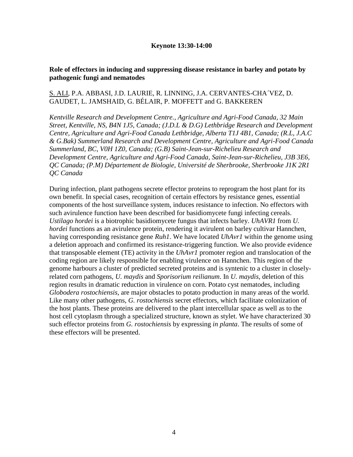#### **Keynote 13:30-14:00**

## **Role of effectors in inducing and suppressing disease resistance in barley and potato by pathogenic fungi and nematodes**

#### S. ALI, P.A. ABBASI, J.D. LAURIE, R. LINNING, J.A. CERVANTES-CHA´VEZ, D. GAUDET, L. JAMSHAID, G. BÉLAIR, P. MOFFETT and G. BAKKEREN

*Kentville Research and Development Centre., Agriculture and Agri-Food Canada, 32 Main Street, Kentville, NS, B4N 1J5, Canada; (J.D.L & D.G) [Lethbridge Research and Development](http://www.agr.gc.ca/eng/?id=1180547946064)  [Centre,](http://www.agr.gc.ca/eng/?id=1180547946064) Agriculture and Agri-Food Canada Lethbridge, Alberta T1J 4B1, Canada; (R.L, J.A.C & G.Bak) Summerland Research and Development Centre, Agriculture and Agri-Food Canada Summerland, BC, V0H 1Z0, Canada; (G.B) Saint-Jean-sur-Richelieu [Research and](http://www.agr.gc.ca/eng/?id=1180632057455)  [Development Centre,](http://www.agr.gc.ca/eng/?id=1180632057455) Agriculture and Agri-Food Canada, Saint-Jean-sur-Richelieu, J3B 3E6, QC Canada; (P.M) Département de Biologie, Université de Sherbrooke, Sherbrooke J1K 2R1 QC Canada*

During infection, plant pathogens secrete effector proteins to reprogram the host plant for its own benefit. In special cases, recognition of certain effectors by resistance genes, essential components of the host surveillance system, induces resistance to infection. No effectors with such avirulence function have been described for basidiomycete fungi infecting cereals. *Ustilago hordei* is a biotrophic basidiomycete fungus that infects barley. *UhAVR1* from *U. hordei* functions as an avirulence protein, rendering it avirulent on barley cultivar Hannchen, having corresponding resistance gene *Ruh1*. We have located *UhAvr1* within the genome using a deletion approach and confirmed its resistance-triggering function. We also provide evidence that transposable element (TE) activity in the *UhAvr1* promoter region and translocation of the coding region are likely responsible for enabling virulence on Hannchen. This region of the genome harbours a cluster of predicted secreted proteins and is syntenic to a cluster in closelyrelated corn pathogens, *U. maydis* and *Sporisorium reilianum*. In *U. maydis*, deletion of this region results in dramatic reduction in virulence on corn. Potato cyst nematodes, including *Globodera rostochiensis*, are major obstacles to potato production in many areas of the world. Like many other pathogens, *G. rostochiensis* secret effectors, which facilitate colonization of the host plants. These proteins are delivered to the plant intercellular space as well as to the host cell cytoplasm through a specialized structure, known as stylet. We have characterized 30 such effector proteins from *G. rostochiensis* by expressing *in planta*. The results of some of these effectors will be presented.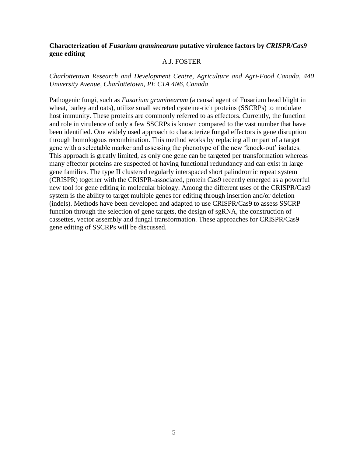## **Characterization of** *Fusarium graminearum* **putative virulence factors by** *CRISPR/Cas9*  **gene editing**

#### A.J. FOSTER

*Charlottetown Research and Development Centre, Agriculture and Agri-Food Canada, 440 University Avenue, Charlottetown, PE C1A 4N6, Canada*

Pathogenic fungi, such as *Fusarium graminearum* (a causal agent of Fusarium head blight in wheat, barley and oats), utilize small secreted cysteine-rich proteins (SSCRPs) to modulate host immunity. These proteins are commonly referred to as effectors. Currently, the function and role in virulence of only a few SSCRPs is known compared to the vast number that have been identified. One widely used approach to characterize fungal effectors is gene disruption through homologous recombination. This method works by replacing all or part of a target gene with a selectable marker and assessing the phenotype of the new 'knock-out' isolates. This approach is greatly limited, as only one gene can be targeted per transformation whereas many effector proteins are suspected of having functional redundancy and can exist in large gene families. The type II clustered regularly interspaced short palindromic repeat system (CRISPR) together with the CRISPR-associated, protein Cas9 recently emerged as a powerful new tool for gene editing in molecular biology. Among the different uses of the CRISPR/Cas9 system is the ability to target multiple genes for editing through insertion and/or deletion (indels). Methods have been developed and adapted to use CRISPR/Cas9 to assess SSCRP function through the selection of gene targets, the design of sgRNA, the construction of cassettes, vector assembly and fungal transformation. These approaches for CRISPR/Cas9 gene editing of SSCRPs will be discussed.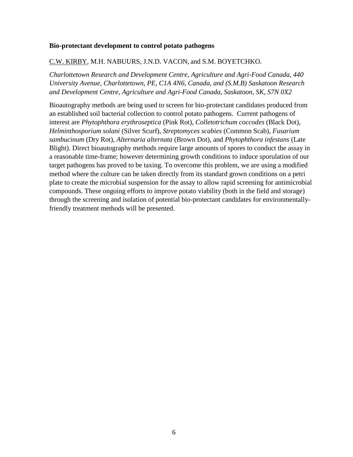#### **Bio-protectant development to control potato pathogens**

#### C.W. KIRBY, M.H. NABUURS, J.N.D. VACON, and S.M. BOYETCHKO.

*Charlottetown Research and Development Centre, Agriculture and Agri-Food Canada, 440 University Avenue, Charlottetown, PE, C1A 4N6, Canada, and (S.M.B) Saskatoon Research and Development Centre, Agriculture and Agri-Food Canada, Saskatoon, SK, S7N 0X2*

Bioautography methods are being used to screen for bio-protectant candidates produced from an established soil bacterial collection to control potato pathogens. Current pathogens of interest are *Phytophthora erythroseptica* (Pink Rot), *Colletotrichum coccodes* (Black Dot), *Helminthosporium solani* (Silver Scurf), *Streptomyces scabies* (Common Scab), *Fusarium sambucinum* (Dry Rot), *Alternaria alternata* (Brown Dot), and *Phytophthora infestans* (Late Blight). Direct bioautography methods require large amounts of spores to conduct the assay in a reasonable time-frame; however determining growth conditions to induce sporulation of our target pathogens has proved to be taxing. To overcome this problem, we are using a modified method where the culture can be taken directly from its standard grown conditions on a petri plate to create the microbial suspension for the assay to allow rapid screening for antimicrobial compounds. These ongoing efforts to improve potato viability (both in the field and storage) through the screening and isolation of potential bio-protectant candidates for environmentallyfriendly treatment methods will be presented.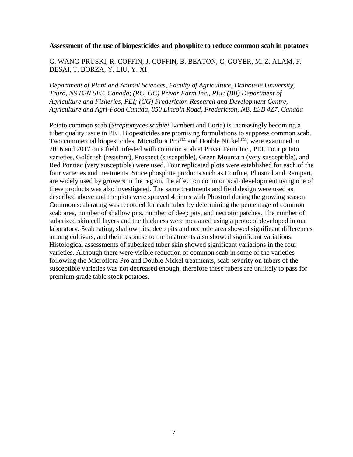#### **Assessment of the use of biopesticides and phosphite to reduce common scab in potatoes**

# G. WANG-PRUSKI, R. COFFIN, J. COFFIN, B. BEATON, C. GOYER, M. Z. ALAM, F. DESAI, T. BORZA, Y. LIU, Y. XI

*Department of Plant and Animal Sciences, Faculty of Agriculture, Dalhousie University, Truro, NS B2N 5E3, Canada*; *(RC, GC) Privar Farm Inc., PEI; (BB) Department of Agriculture and Fisheries, PEI; (CG) Fredericton Research and Development Centre, Agriculture and Agri-Food Canada, 850 Lincoln Road, Fredericton, NB, E3B 4Z7, Canada*

Potato common scab (*Streptomyces scabiei* Lambert and Loria) is increasingly becoming a tuber quality issue in PEI. Biopesticides are promising formulations to suppress common scab. Two commercial biopesticides, Microflora  $\text{Pro}^{\text{TM}}$  and Double Nickel<sup>TM</sup>, were examined in 2016 and 2017 on a field infested with common scab at Privar Farm Inc., PEI. Four potato varieties, Goldrush (resistant), Prospect (susceptible), Green Mountain (very susceptible), and Red Pontiac (very susceptible) were used. Four replicated plots were established for each of the four varieties and treatments. Since phosphite products such as Confine, Phostrol and Rampart, are widely used by growers in the region, the effect on common scab development using one of these products was also investigated. The same treatments and field design were used as described above and the plots were sprayed 4 times with Phostrol during the growing season. Common scab rating was recorded for each tuber by determining the percentage of common scab area, number of shallow pits, number of deep pits, and necrotic patches. The number of suberized skin cell layers and the thickness were measured using a protocol developed in our laboratory. Scab rating, shallow pits, deep pits and necrotic area showed significant differences among cultivars, and their response to the treatments also showed significant variations. Histological assessments of suberized tuber skin showed significant variations in the four varieties. Although there were visible reduction of common scab in some of the varieties following the Microflora Pro and Double Nickel treatments, scab severity on tubers of the susceptible varieties was not decreased enough, therefore these tubers are unlikely to pass for premium grade table stock potatoes.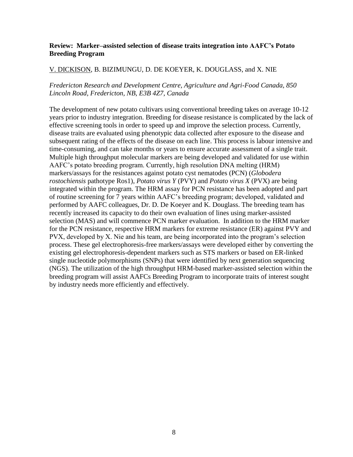## **Review: Marker–assisted selection of disease traits integration into AAFC's Potato Breeding Program**

#### V. DICKISON, B. BIZIMUNGU, D. DE KOEYER, K. DOUGLASS, and X. NIE

#### *Fredericton Research and Development Centre, Agriculture and Agri-Food Canada, 850 Lincoln Road, Fredericton, NB, E3B 4Z7, Canada*

The development of new potato cultivars using conventional breeding takes on average 10-12 years prior to industry integration. Breeding for disease resistance is complicated by the lack of effective screening tools in order to speed up and improve the selection process. Currently, disease traits are evaluated using phenotypic data collected after exposure to the disease and subsequent rating of the effects of the disease on each line. This process is labour intensive and time-consuming, and can take months or years to ensure accurate assessment of a single trait. Multiple high throughput molecular markers are being developed and validated for use within AAFC's potato breeding program. Currently, high resolution DNA melting (HRM) markers/assays for the resistances against potato cyst nematodes (PCN) (*Globodera rostochiensis* pathotype Ros1), *Potato virus Y* (PVY) and *Potato virus X* (PVX) are being integrated within the program. The HRM assay for PCN resistance has been adopted and part of routine screening for 7 years within AAFC's breeding program; developed, validated and performed by AAFC colleagues, Dr. D. De Koeyer and K. Douglass. The breeding team has recently increased its capacity to do their own evaluation of lines using marker-assisted selection (MAS) and will commence PCN marker evaluation. In addition to the HRM marker for the PCN resistance, respective HRM markers for extreme resistance (ER) against PVY and PVX, developed by X. Nie and his team, are being incorporated into the program's selection process. These gel electrophoresis-free markers/assays were developed either by converting the existing gel electrophoresis-dependent markers such as STS markers or based on ER-linked single nucleotide polymorphisms (SNPs) that were identified by next generation sequencing (NGS). The utilization of the high throughput HRM-based marker-assisted selection within the breeding program will assist AAFCs Breeding Program to incorporate traits of interest sought by industry needs more efficiently and effectively.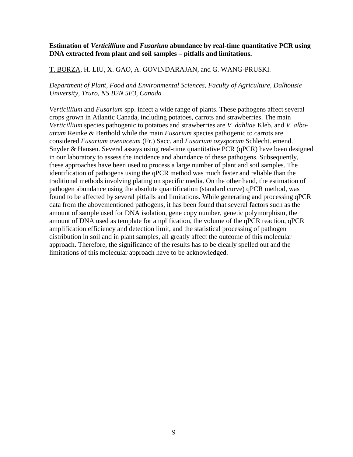#### **Estimation of** *Verticillium* **and** *Fusarium* **abundance by real-time quantitative PCR using DNA extracted from plant and soil samples – pitfalls and limitations.**

#### T. BORZA, H. LIU, X. GAO, A. GOVINDARAJAN, and G. WANG-PRUSKI.

## *Department of Plant, Food and Environmental Sciences, Faculty of Agriculture, Dalhousie University, Truro, NS B2N 5E3, Canada*

*Verticillium* and *Fusarium* spp. infect a wide range of plants. These pathogens affect several crops grown in Atlantic Canada, including potatoes, carrots and strawberries. The main *Verticillium* species pathogenic to potatoes and strawberries are *V. dahliae* Kleb. and *V. alboatrum* Reinke & Berthold while the main *Fusarium* species pathogenic to carrots are considered *Fusarium avenaceum* (Fr.) Sacc. and *Fusarium oxysporum* Schlecht. emend. Snyder & Hansen. Several assays using real-time quantitative PCR (qPCR) have been designed in our laboratory to assess the incidence and abundance of these pathogens. Subsequently, these approaches have been used to process a large number of plant and soil samples. The identification of pathogens using the qPCR method was much faster and reliable than the traditional methods involving plating on specific media. On the other hand, the estimation of pathogen abundance using the absolute quantification (standard curve) qPCR method, was found to be affected by several pitfalls and limitations. While generating and processing qPCR data from the abovementioned pathogens, it has been found that several factors such as the amount of sample used for DNA isolation, gene copy number, genetic polymorphism, the amount of DNA used as template for amplification, the volume of the qPCR reaction, qPCR amplification efficiency and detection limit, and the statistical processing of pathogen distribution in soil and in plant samples, all greatly affect the outcome of this molecular approach. Therefore, the significance of the results has to be clearly spelled out and the limitations of this molecular approach have to be acknowledged.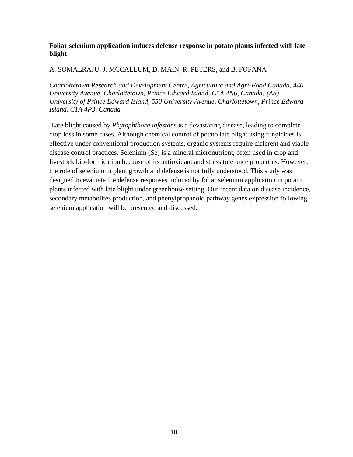# **Foliar selenium application induces defense response in potato plants infected with late blight**

# A. SOMALRAJU, J. MCCALLUM, D. MAIN, R. PETERS, and B. FOFANA

*Charlottetown Research and Development Centre, Agriculture and Agri-Food Canada, 440 University Avenue, Charlottetown, Prince Edward Island, C1A 4N6, Canada; (AS) University of Prince Edward Island, 550 University Avenue, Charlottetown, Prince Edward Island, C1A 4P3, Canada*

Late blight caused by *Phytophthora infestans* is a devastating disease, leading to complete crop loss in some cases. Although chemical control of potato late blight using fungicides is effective under conventional production systems, organic systems require different and viable disease control practices. Selenium (Se) is a mineral micronutrient, often used in crop and livestock bio-fortification because of its antioxidant and stress tolerance properties. However, the role of selenium in plant growth and defense is not fully understood. This study was designed to evaluate the defense responses induced by foliar selenium application in potato plants infected with late blight under greenhouse setting. Our recent data on disease incidence, secondary metabolites production, and phenylpropanoid pathway genes expression following selenium application will be presented and discussed.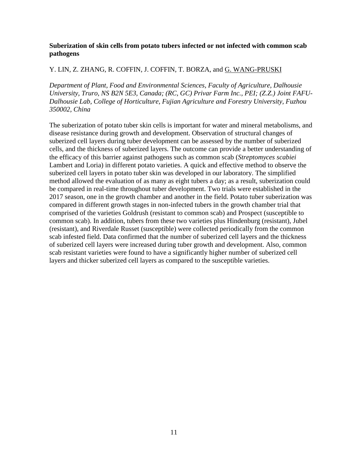# **Suberization of skin cells from potato tubers infected or not infected with common scab pathogens**

# Y. LIN, Z. ZHANG, R. COFFIN, J. COFFIN, T. BORZA, and G. WANG-PRUSKI

*Department of Plant, Food and Environmental Sciences, Faculty of Agriculture, Dalhousie University, Truro, NS B2N 5E3, Canada; (RC, GC) Privar Farm Inc., PEI; (Z.Z.) Joint FAFU-Dalhousie Lab, College of Horticulture, Fujian Agriculture and Forestry University, Fuzhou 350002, China* 

The suberization of potato tuber skin cells is important for water and mineral metabolisms, and disease resistance during growth and development. Observation of structural changes of suberized cell layers during tuber development can be assessed by the number of suberized cells, and the thickness of suberized layers. The outcome can provide a better understanding of the efficacy of this barrier against pathogens such as common scab (*Streptomyces scabiei* Lambert and Loria) in different potato varieties. A quick and effective method to observe the suberized cell layers in potato tuber skin was developed in our laboratory. The simplified method allowed the evaluation of as many as eight tubers a day; as a result, suberization could be compared in real-time throughout tuber development. Two trials were established in the 2017 season, one in the growth chamber and another in the field. Potato tuber suberization was compared in different growth stages in non-infected tubers in the growth chamber trial that comprised of the varieties Goldrush (resistant to common scab) and Prospect (susceptible to common scab). In addition, tubers from these two varieties plus Hindenburg (resistant), Jubel (resistant), and Riverdale Russet (susceptible) were collected periodically from the common scab infested field. Data confirmed that the number of suberized cell layers and the thickness of suberized cell layers were increased during tuber growth and development. Also, common scab resistant varieties were found to have a significantly higher number of suberized cell layers and thicker suberized cell layers as compared to the susceptible varieties.